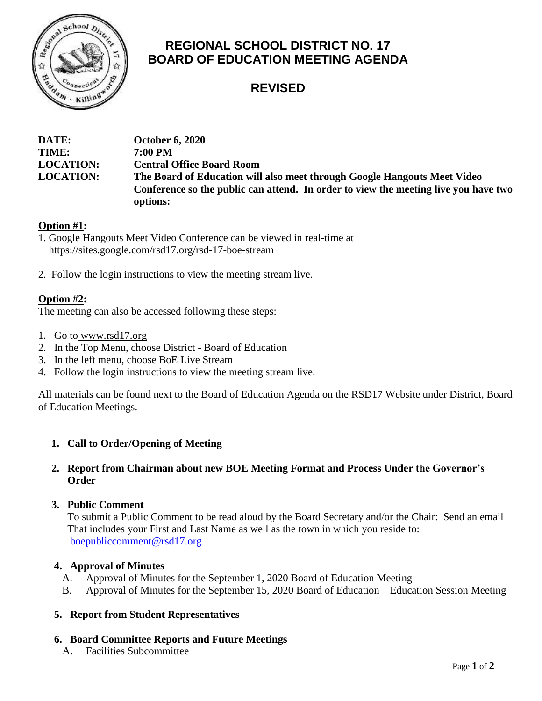

# **REGIONAL SCHOOL DISTRICT NO. 17 BOARD OF EDUCATION MEETING AGENDA**

# **REVISED**

| DATE:            | <b>October 6, 2020</b>                                                              |
|------------------|-------------------------------------------------------------------------------------|
| TIME:            | 7:00 PM                                                                             |
| <b>LOCATION:</b> | <b>Central Office Board Room</b>                                                    |
| <b>LOCATION:</b> | The Board of Education will also meet through Google Hangouts Meet Video            |
|                  | Conference so the public can attend. In order to view the meeting live you have two |
|                  | options:                                                                            |

# **Option #1:**

- 1. Google Hangouts Meet Video Conference can be viewed in real-time at <https://sites.google.com/rsd17.org/rsd-17-boe-stream>
- 2. Follow the login instructions to view the meeting stream live.

## **Option #2:**

The meeting can also be accessed following these steps:

- 1. Go to [www.rsd17.org](http://www.rsd17.org/)
- 2. In the Top Menu, choose District Board of Education
- 3. In the left menu, choose BoE Live Stream
- 4. Follow the login instructions to view the meeting stream live.

All materials can be found next to the Board of Education Agenda on the RSD17 Website under District, Board of Education Meetings.

#### **1. Call to Order/Opening of Meeting**

## **2. Report from Chairman about new BOE Meeting Format and Process Under the Governor's Order**

#### **3. Public Comment**

 To submit a Public Comment to be read aloud by the Board Secretary and/or the Chair: Send an email That includes your First and Last Name as well as the town in which you reside to: [boepubliccomment@rsd17.org](mailto:boepubliccomment@rsd17.org)

#### **4. Approval of Minutes**

- A. Approval of Minutes for the September 1, 2020 Board of Education Meeting
- B. Approval of Minutes for the September 15, 2020 Board of Education Education Session Meeting

#### **5. Report from Student Representatives**

#### **6. Board Committee Reports and Future Meetings**

A. Facilities Subcommittee